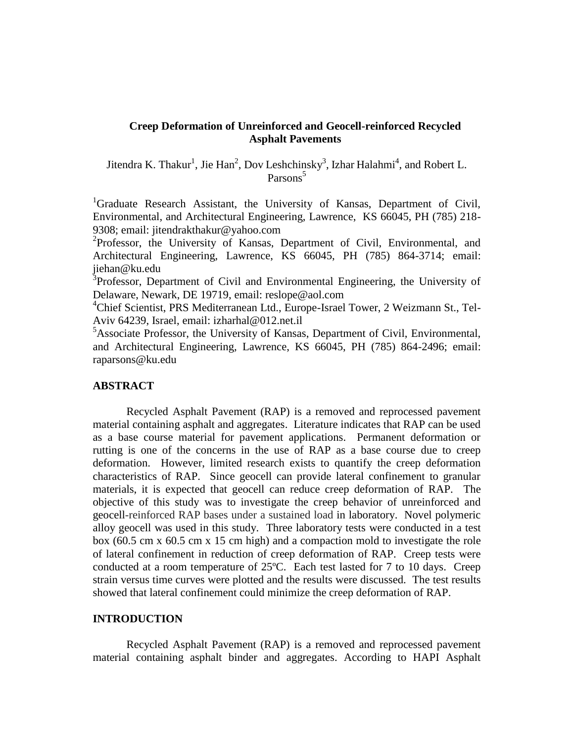# **Creep Deformation of Unreinforced and Geocell-reinforced Recycled Asphalt Pavements**

Jitendra K. Thakur<sup>1</sup>, Jie Han<sup>2</sup>, Dov Leshchinsky<sup>3</sup>, Izhar Halahmi<sup>4</sup>, and Robert L. Parsons<sup>5</sup>

<sup>1</sup>Graduate Research Assistant, the University of Kansas, Department of Civil, Environmental, and Architectural Engineering, Lawrence, KS 66045, PH (785) 218- 9308; email: jitendrakthakur@yahoo.com

<sup>2</sup>Professor, the University of Kansas, Department of Civil, Environmental, and Architectural Engineering, Lawrence, KS 66045, PH (785) 864-3714; email: jiehan@ku.edu

<sup>3</sup>Professor, Department of Civil and Environmental Engineering, the University of Delaware, Newark, DE 19719, email: reslope@aol.com

<sup>4</sup>Chief Scientist, PRS Mediterranean Ltd., Europe-Israel Tower, 2 Weizmann St., Tel-Aviv 64239, Israel, email: izharhal@012.net.il

<sup>5</sup>Associate Professor, the University of Kansas, Department of Civil, Environmental, and Architectural Engineering, Lawrence, KS 66045, PH (785) 864-2496; email: raparsons@ku.edu

## **ABSTRACT**

Recycled Asphalt Pavement (RAP) is a removed and reprocessed pavement material containing asphalt and aggregates. Literature indicates that RAP can be used as a base course material for pavement applications. Permanent deformation or rutting is one of the concerns in the use of RAP as a base course due to creep deformation. However, limited research exists to quantify the creep deformation characteristics of RAP. Since geocell can provide lateral confinement to granular materials, it is expected that geocell can reduce creep deformation of RAP. The objective of this study was to investigate the creep behavior of unreinforced and geocell-reinforced RAP bases under a sustained load in laboratory. Novel polymeric alloy geocell was used in this study. Three laboratory tests were conducted in a test box (60.5 cm x 60.5 cm x 15 cm high) and a compaction mold to investigate the role of lateral confinement in reduction of creep deformation of RAP. Creep tests were conducted at a room temperature of 25ºC. Each test lasted for 7 to 10 days. Creep strain versus time curves were plotted and the results were discussed. The test results showed that lateral confinement could minimize the creep deformation of RAP.

### **INTRODUCTION**

Recycled Asphalt Pavement (RAP) is a removed and reprocessed pavement material containing asphalt binder and aggregates. According to HAPI Asphalt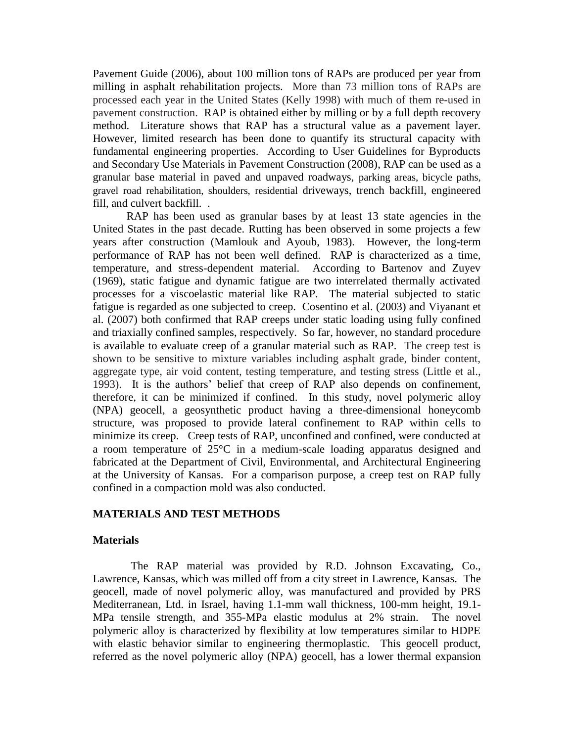Pavement Guide (2006), about 100 million tons of RAPs are produced per year from milling in asphalt rehabilitation projects. More than 73 million tons of RAPs are processed each year in the United States (Kelly 1998) with much of them re-used in pavement construction. RAP is obtained either by milling or by a full depth recovery method. Literature shows that RAP has a structural value as a pavement layer. However, limited research has been done to quantify its structural capacity with fundamental engineering properties. According to User Guidelines for Byproducts and Secondary Use Materials in Pavement Construction (2008), RAP can be used as a granular base material in paved and unpaved roadways, parking areas, bicycle paths, gravel road rehabilitation, shoulders, residential driveways, trench backfill, engineered fill, and culvert backfill. .

RAP has been used as granular bases by at least 13 state agencies in the United States in the past decade. Rutting has been observed in some projects a few years after construction (Mamlouk and Ayoub, 1983). However, the long-term performance of RAP has not been well defined. RAP is characterized as a time, temperature, and stress-dependent material. According to Bartenov and Zuyev (1969), static fatigue and dynamic fatigue are two interrelated thermally activated processes for a viscoelastic material like RAP. The material subjected to static fatigue is regarded as one subjected to creep. Cosentino et al. (2003) and Viyanant et al. (2007) both confirmed that RAP creeps under static loading using fully confined and triaxially confined samples, respectively. So far, however, no standard procedure is available to evaluate creep of a granular material such as RAP. The creep test is shown to be sensitive to mixture variables including asphalt grade, binder content, aggregate type, air void content, testing temperature, and testing stress (Little et al., 1993). It is the authors' belief that creep of RAP also depends on confinement, therefore, it can be minimized if confined. In this study, novel polymeric alloy (NPA) geocell, a geosynthetic product having a three-dimensional honeycomb structure, was proposed to provide lateral confinement to RAP within cells to minimize its creep. Creep tests of RAP, unconfined and confined, were conducted at a room temperature of 25°C in a medium-scale loading apparatus designed and fabricated at the Department of Civil, Environmental, and Architectural Engineering at the University of Kansas. For a comparison purpose, a creep test on RAP fully confined in a compaction mold was also conducted.

## **MATERIALS AND TEST METHODS**

## **Materials**

The RAP material was provided by R.D. Johnson Excavating, Co., Lawrence, Kansas, which was milled off from a city street in Lawrence, Kansas. The geocell, made of novel polymeric alloy, was manufactured and provided by PRS Mediterranean, Ltd. in Israel, having 1.1-mm wall thickness, 100-mm height, 19.1- MPa tensile strength, and 355-MPa elastic modulus at 2% strain. The novel polymeric alloy is characterized by flexibility at low temperatures similar to HDPE with elastic behavior similar to engineering thermoplastic. This geocell product, referred as the novel polymeric alloy (NPA) geocell, has a lower thermal expansion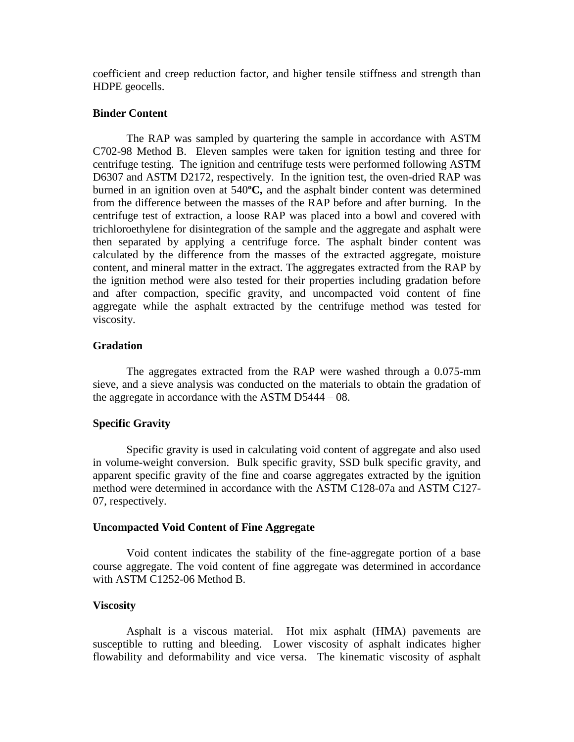coefficient and creep reduction factor, and higher tensile stiffness and strength than HDPE geocells.

# **Binder Content**

The RAP was sampled by quartering the sample in accordance with ASTM C702-98 Method B. Eleven samples were taken for ignition testing and three for centrifuge testing. The ignition and centrifuge tests were performed following ASTM D6307 and ASTM D2172, respectively. In the ignition test, the oven-dried RAP was burned in an ignition oven at 540**ºC,** and the asphalt binder content was determined from the difference between the masses of the RAP before and after burning. In the centrifuge test of extraction, a loose RAP was placed into a bowl and covered with trichloroethylene for disintegration of the sample and the aggregate and asphalt were then separated by applying a centrifuge force. The asphalt binder content was calculated by the difference from the masses of the extracted aggregate, moisture content, and mineral matter in the extract. The aggregates extracted from the RAP by the ignition method were also tested for their properties including gradation before and after compaction, specific gravity, and uncompacted void content of fine aggregate while the asphalt extracted by the centrifuge method was tested for viscosity.

## **Gradation**

The aggregates extracted from the RAP were washed through a 0.075-mm sieve, and a sieve analysis was conducted on the materials to obtain the gradation of the aggregate in accordance with the ASTM D5444 – 08.

### **Specific Gravity**

Specific gravity is used in calculating void content of aggregate and also used in volume-weight conversion. Bulk specific gravity, SSD bulk specific gravity, and apparent specific gravity of the fine and coarse aggregates extracted by the ignition method were determined in accordance with the ASTM C128-07a and ASTM C127- 07, respectively.

### **Uncompacted Void Content of Fine Aggregate**

Void content indicates the stability of the fine-aggregate portion of a base course aggregate. The void content of fine aggregate was determined in accordance with ASTM C1252-06 Method B.

## **Viscosity**

Asphalt is a viscous material. Hot mix asphalt (HMA) pavements are susceptible to [rutting](http://training.ce.washington.edu/WSDOT/Modules/09_pavement_evaluation/09-7_body.htm#rutting) and [bleeding.](http://training.ce.washington.edu/WSDOT/Modules/09_pavement_evaluation/09-7_body.htm#bleeding) Lower viscosity of asphalt indicates higher flowability and deformability and vice versa. The kinematic viscosity of asphalt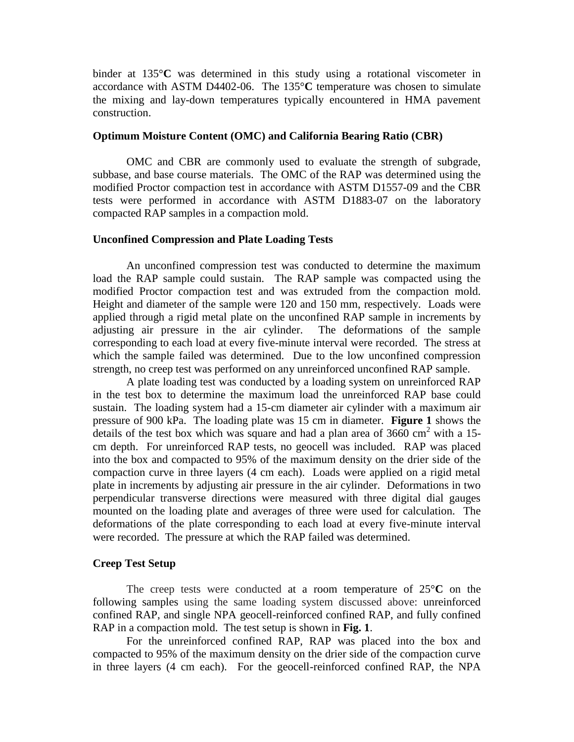binder at 135°**C** was determined in this study using a rotational viscometer in accordance with ASTM D4402-06. The 135°**C** temperature was chosen to simulate the [mixing and lay-down temperatures](http://training.ce.washington.edu/WSDOT/Modules/07_construction/07-6_body.htm#hma_temperatures) typically encountered in HMA pavement construction.

## **Optimum Moisture Content (OMC) and California Bearing Ratio (CBR)**

OMC and CBR are commonly used to evaluate the strength of subgrade, subbase, and base course materials. The OMC of the RAP was determined using the modified Proctor compaction test in accordance with ASTM D1557-09 and the CBR tests were performed in accordance with ASTM D1883-07 on the laboratory compacted RAP samples in a compaction mold.

### **Unconfined Compression and Plate Loading Tests**

An unconfined compression test was conducted to determine the maximum load the RAP sample could sustain. The RAP sample was compacted using the modified Proctor compaction test and was extruded from the compaction mold. Height and diameter of the sample were 120 and 150 mm, respectively. Loads were applied through a rigid metal plate on the unconfined RAP sample in increments by adjusting air pressure in the air cylinder. The deformations of the sample corresponding to each load at every five-minute interval were recorded. The stress at which the sample failed was determined. Due to the low unconfined compression strength, no creep test was performed on any unreinforced unconfined RAP sample.

A plate loading test was conducted by a loading system on unreinforced RAP in the test box to determine the maximum load the unreinforced RAP base could sustain. The loading system had a 15-cm diameter air cylinder with a maximum air pressure of 900 kPa. The loading plate was 15 cm in diameter. **Figure 1** shows the details of the test box which was square and had a plan area of  $3660 \text{ cm}^2$  with a 15cm depth. For unreinforced RAP tests, no geocell was included. RAP was placed into the box and compacted to 95% of the maximum density on the drier side of the compaction curve in three layers (4 cm each). Loads were applied on a rigid metal plate in increments by adjusting air pressure in the air cylinder. Deformations in two perpendicular transverse directions were measured with three digital dial gauges mounted on the loading plate and averages of three were used for calculation. The deformations of the plate corresponding to each load at every five-minute interval were recorded. The pressure at which the RAP failed was determined.

### **Creep Test Setup**

The creep tests were conducted at a room temperature of 25°**C** on the following samples using the same loading system discussed above: unreinforced confined RAP, and single NPA geocell-reinforced confined RAP, and fully confined RAP in a compaction mold. The test setup is shown in **Fig. 1**.

For the unreinforced confined RAP, RAP was placed into the box and compacted to 95% of the maximum density on the drier side of the compaction curve in three layers (4 cm each). For the geocell-reinforced confined RAP, the NPA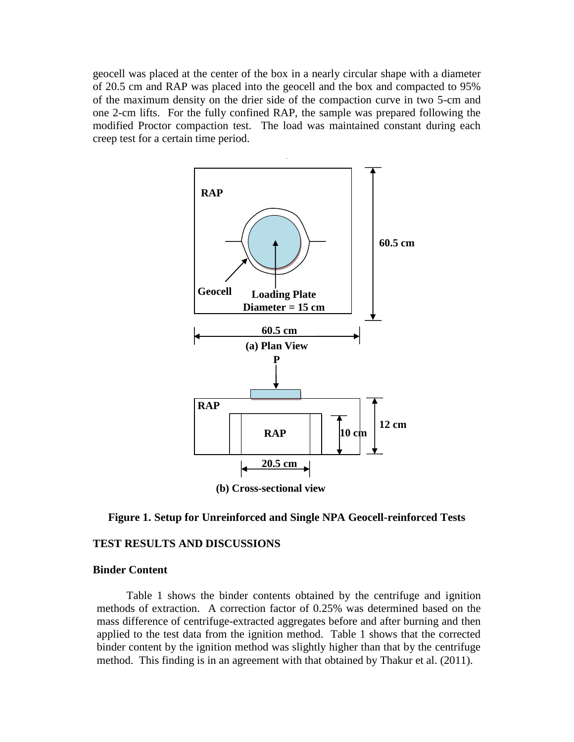geocell was placed at the center of the box in a nearly circular shape with a diameter of 20.5 cm and RAP was placed into the geocell and the box and compacted to 95% of the maximum density on the drier side of the compaction curve in two 5-cm and one 2-cm lifts. For the fully confined RAP, the sample was prepared following the modified Proctor compaction test. The load was maintained constant during each creep test for a certain time period.





### **TEST RESULTS AND DISCUSSIONS**

### **Binder Content**

Table 1 shows the binder contents obtained by the centrifuge and ignition methods of extraction. A correction factor of 0.25% was determined based on the mass difference of centrifuge-extracted aggregates before and after burning and then applied to the test data from the ignition method. Table 1 shows that the corrected binder content by the ignition method was slightly higher than that by the centrifuge method. This finding is in an agreement with that obtained by Thakur et al. (2011).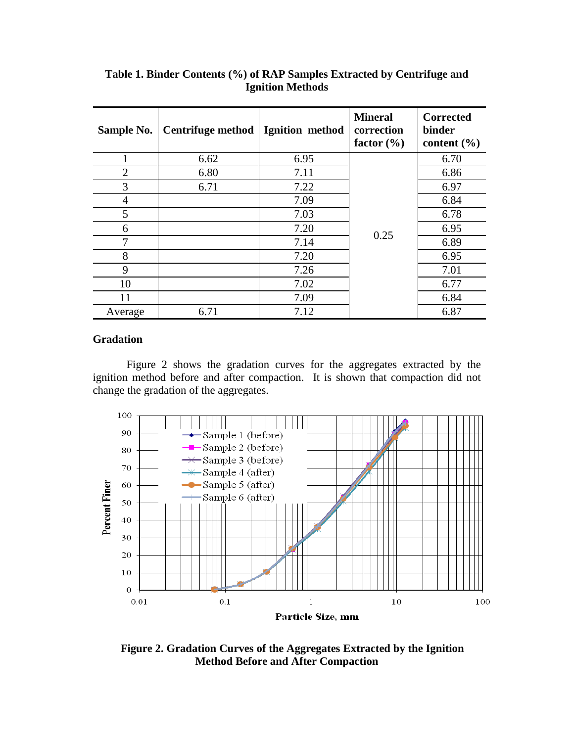| Sample No.     | <b>Centrifuge method</b> | Ignition method | <b>Mineral</b><br>correction<br>factor $(\% )$ | <b>Corrected</b><br>binder<br>content $(\% )$ |
|----------------|--------------------------|-----------------|------------------------------------------------|-----------------------------------------------|
|                | 6.62                     | 6.95            |                                                | 6.70                                          |
| $\overline{2}$ | 6.80                     | 7.11            |                                                | 6.86                                          |
| 3              | 6.71                     | 7.22            |                                                | 6.97                                          |
| 4              |                          | 7.09            |                                                | 6.84                                          |
| 5              |                          | 7.03            |                                                | 6.78                                          |
| 6              |                          | 7.20            |                                                | 6.95                                          |
| 7              |                          | 7.14            | 0.25                                           | 6.89                                          |
| 8              |                          | 7.20            |                                                | 6.95                                          |
| 9              |                          | 7.26            |                                                | 7.01                                          |
| 10             |                          | 7.02            |                                                | 6.77                                          |
| 11             |                          | 7.09            |                                                | 6.84                                          |
| Average        | 6.71                     | 7.12            |                                                | 6.87                                          |

**Table 1. Binder Contents (%) of RAP Samples Extracted by Centrifuge and Ignition Methods**

# **Gradation**

Figure 2 shows the gradation curves for the aggregates extracted by the ignition method before and after compaction. It is shown that compaction did not change the gradation of the aggregates.



**Figure 2. Gradation Curves of the Aggregates Extracted by the Ignition Method Before and After Compaction**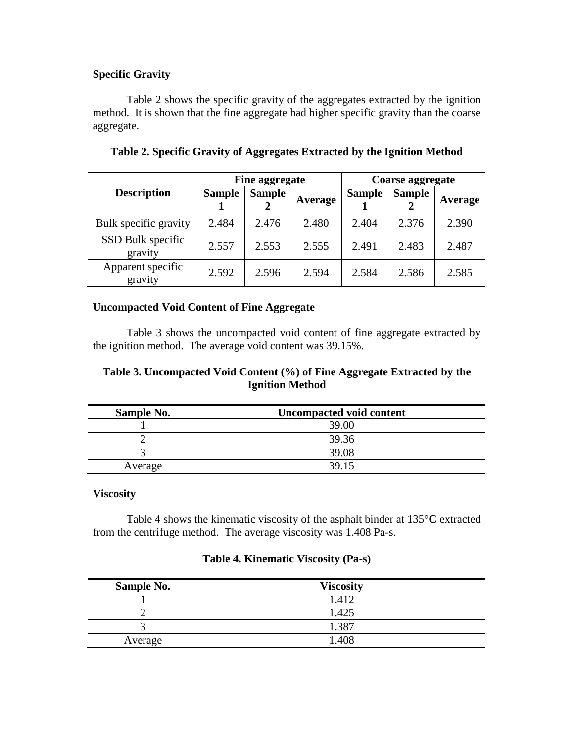# **Specific Gravity**

Table 2 shows the specific gravity of the aggregates extracted by the ignition method. It is shown that the fine aggregate had higher specific gravity than the coarse aggregate.

|                              | Fine aggregate |               |         | Coarse aggregate |               |         |
|------------------------------|----------------|---------------|---------|------------------|---------------|---------|
| <b>Description</b>           | <b>Sample</b>  | <b>Sample</b> | Average | <b>Sample</b>    | <b>Sample</b> | Average |
| Bulk specific gravity        | 2.484          | 2.476         | 2.480   | 2.404            | 2.376         | 2.390   |
| SSD Bulk specific<br>gravity | 2.557          | 2.553         | 2.555   | 2.491            | 2.483         | 2.487   |
| Apparent specific<br>gravity | 2.592          | 2.596         | 2.594   | 2.584            | 2.586         | 2.585   |

# **Table 2. Specific Gravity of Aggregates Extracted by the Ignition Method**

# **Uncompacted Void Content of Fine Aggregate**

Table 3 shows the uncompacted void content of fine aggregate extracted by the ignition method. The average void content was 39.15%.

# **Table 3. Uncompacted Void Content (%) of Fine Aggregate Extracted by the Ignition Method**

| Sample No. | <b>Uncompacted void content</b> |
|------------|---------------------------------|
|            | 39.00                           |
|            | 39.36                           |
|            | 39.08                           |
| Average    | 39 15                           |

## **Viscosity**

Table 4 shows the kinematic viscosity of the asphalt binder at 135°**C** extracted from the centrifuge method. The average viscosity was 1.408 Pa-s.

# **Table 4. Kinematic Viscosity (Pa-s)**

| <b>Sample No.</b> | <b>Viscosity</b> |
|-------------------|------------------|
|                   | 1.412            |
|                   | 1.425            |
|                   | 1.387            |
| Average           | 1.408            |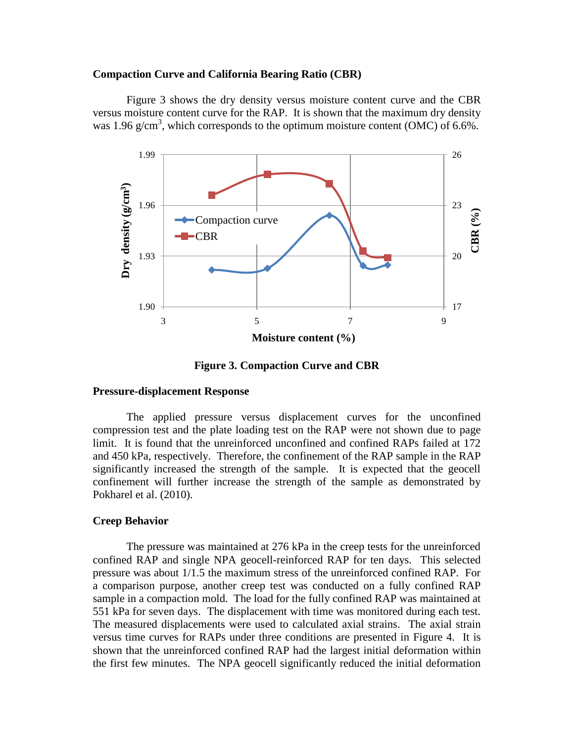### **Compaction Curve and California Bearing Ratio (CBR)**

Figure 3 shows the dry density versus moisture content curve and the CBR versus moisture content curve for the RAP. It is shown that the maximum dry density was 1.96 g/cm<sup>3</sup>, which corresponds to the optimum moisture content (OMC) of 6.6%.



**Figure 3. Compaction Curve and CBR**

### **Pressure-displacement Response**

The applied pressure versus displacement curves for the unconfined compression test and the plate loading test on the RAP were not shown due to page limit. It is found that the unreinforced unconfined and confined RAPs failed at 172 and 450 kPa, respectively. Therefore, the confinement of the RAP sample in the RAP significantly increased the strength of the sample. It is expected that the geocell confinement will further increase the strength of the sample as demonstrated by Pokharel et al. (2010).

#### **Creep Behavior**

The pressure was maintained at 276 kPa in the creep tests for the unreinforced confined RAP and single NPA geocell-reinforced RAP for ten days. This selected pressure was about 1/1.5 the maximum stress of the unreinforced confined RAP. For a comparison purpose, another creep test was conducted on a fully confined RAP sample in a compaction mold. The load for the fully confined RAP was maintained at 551 kPa for seven days. The displacement with time was monitored during each test. The measured displacements were used to calculated axial strains. The axial strain versus time curves for RAPs under three conditions are presented in Figure 4. It is shown that the unreinforced confined RAP had the largest initial deformation within the first few minutes. The NPA geocell significantly reduced the initial deformation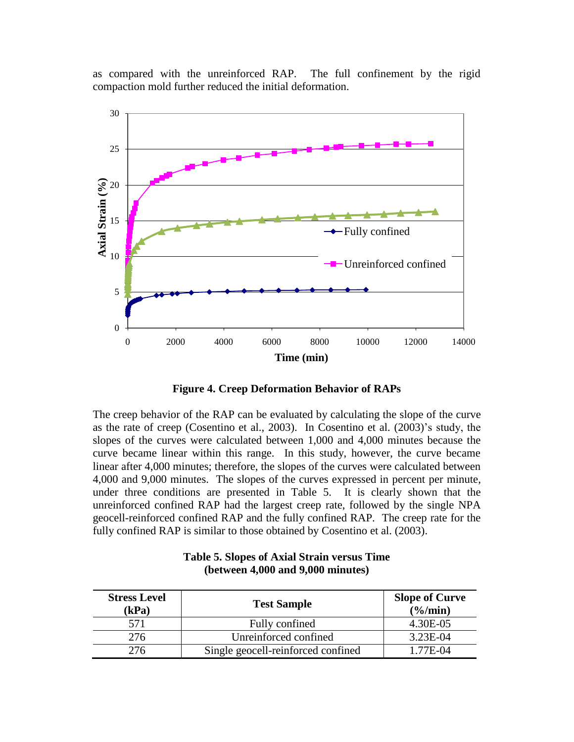as compared with the unreinforced RAP. The full confinement by the rigid compaction mold further reduced the initial deformation.



**Figure 4. Creep Deformation Behavior of RAPs**

The creep behavior of the RAP can be evaluated by calculating the slope of the curve as the rate of creep (Cosentino et al., 2003). In Cosentino et al. (2003)'s study, the slopes of the curves were calculated between 1,000 and 4,000 minutes because the curve became linear within this range. In this study, however, the curve became linear after 4,000 minutes; therefore, the slopes of the curves were calculated between 4,000 and 9,000 minutes. The slopes of the curves expressed in percent per minute, under three conditions are presented in Table 5. It is clearly shown that the unreinforced confined RAP had the largest creep rate, followed by the single NPA geocell-reinforced confined RAP and the fully confined RAP. The creep rate for the fully confined RAP is similar to those obtained by Cosentino et al. (2003).

| <b>Stress Level</b><br>(kPa) | <b>Test Sample</b>                 | <b>Slope of Curve</b><br>$(\frac{6}{\text{min}})$ |
|------------------------------|------------------------------------|---------------------------------------------------|
| 571                          | Fully confined                     | 4.30E-05                                          |
| 276                          | Unreinforced confined              | 3.23E-04                                          |
| 276                          | Single geocell-reinforced confined | 1.77E-04                                          |

# **Table 5. Slopes of Axial Strain versus Time (between 4,000 and 9,000 minutes)**